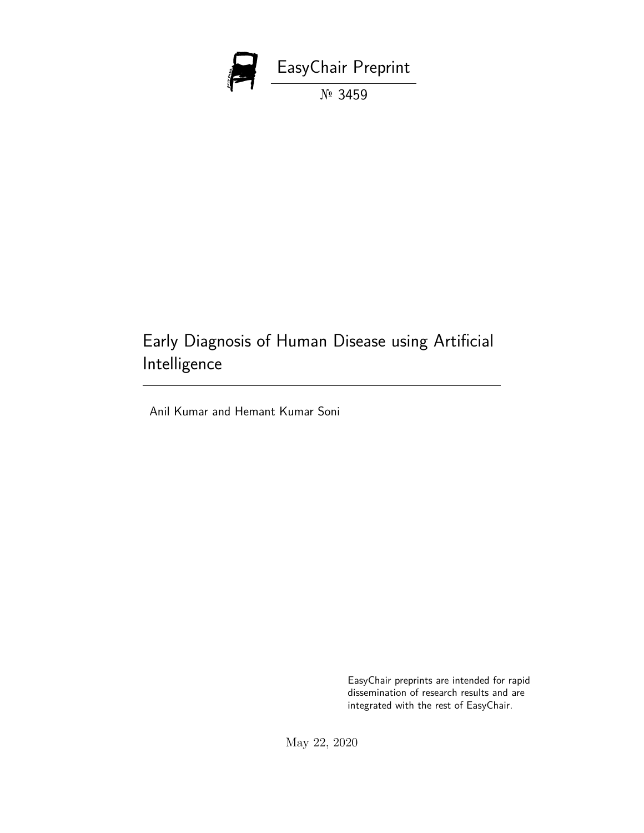

# Early Diagnosis of Human Disease using Artificial Intelligence

Anil Kumar and Hemant Kumar Soni

EasyChair preprints are intended for rapid dissemination of research results and are integrated with the rest of EasyChair.

May 22, 2020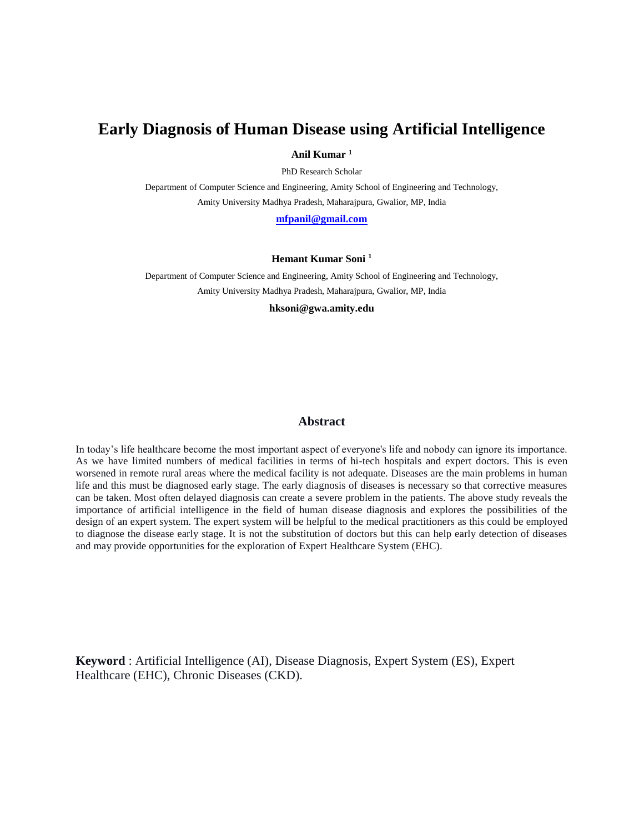## **Early Diagnosis of Human Disease using Artificial Intelligence**

**Anil Kumar <sup>1</sup>**

PhD Research Scholar

Department of Computer Science and Engineering, Amity School of Engineering and Technology, Amity University Madhya Pradesh, Maharajpura, Gwalior, MP, India

**[mfpanil@gmail.com](mailto:mfpanil@gmail.com)**

#### **Hemant Kumar Soni <sup>1</sup>**

Department of Computer Science and Engineering, Amity School of Engineering and Technology, Amity University Madhya Pradesh, Maharajpura, Gwalior, MP, India

**hksoni@gwa.amity.edu**

#### **Abstract**

In today's life healthcare become the most important aspect of everyone's life and nobody can ignore its importance. As we have limited numbers of medical facilities in terms of hi-tech hospitals and expert doctors. This is even worsened in remote rural areas where the medical facility is not adequate. Diseases are the main problems in human life and this must be diagnosed early stage. The early diagnosis of diseases is necessary so that corrective measures can be taken. Most often delayed diagnosis can create a severe problem in the patients. The above study reveals the importance of artificial intelligence in the field of human disease diagnosis and explores the possibilities of the design of an expert system. The expert system will be helpful to the medical practitioners as this could be employed to diagnose the disease early stage. It is not the substitution of doctors but this can help early detection of diseases and may provide opportunities for the exploration of Expert Healthcare System (EHC).

**Keyword** : Artificial Intelligence (AI), Disease Diagnosis, Expert System (ES), Expert Healthcare (EHC), Chronic Diseases (CKD).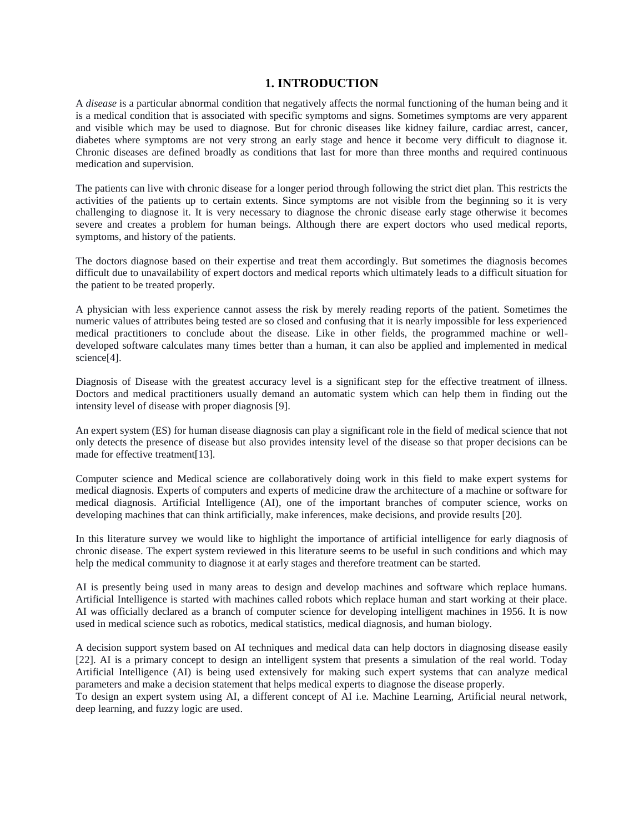### **1. INTRODUCTION**

A *disease* is a particular abnormal condition that negatively affects the normal functioning of the human being and it is a medical condition that is associated with specific symptoms and signs. Sometimes symptoms are very apparent and visible which may be used to diagnose. But for chronic diseases like kidney failure, cardiac arrest, cancer, diabetes where symptoms are not very strong an early stage and hence it become very difficult to diagnose it. Chronic diseases are defined broadly as conditions that last for more than three months and required continuous medication and supervision.

The patients can live with chronic disease for a longer period through following the strict diet plan. This restricts the activities of the patients up to certain extents. Since symptoms are not visible from the beginning so it is very challenging to diagnose it. It is very necessary to diagnose the chronic disease early stage otherwise it becomes severe and creates a problem for human beings. Although there are expert doctors who used medical reports, symptoms, and history of the patients.

The doctors diagnose based on their expertise and treat them accordingly. But sometimes the diagnosis becomes difficult due to unavailability of expert doctors and medical reports which ultimately leads to a difficult situation for the patient to be treated properly.

A physician with less experience cannot assess the risk by merely reading reports of the patient. Sometimes the numeric values of attributes being tested are so closed and confusing that it is nearly impossible for less experienced medical practitioners to conclude about the disease. Like in other fields, the programmed machine or welldeveloped software calculates many times better than a human, it can also be applied and implemented in medical science[4].

Diagnosis of Disease with the greatest accuracy level is a significant step for the effective treatment of illness. Doctors and medical practitioners usually demand an automatic system which can help them in finding out the intensity level of disease with proper diagnosis [9].

An expert system (ES) for human disease diagnosis can play a significant role in the field of medical science that not only detects the presence of disease but also provides intensity level of the disease so that proper decisions can be made for effective treatment[13].

Computer science and Medical science are collaboratively doing work in this field to make expert systems for medical diagnosis. Experts of computers and experts of medicine draw the architecture of a machine or software for medical diagnosis. Artificial Intelligence (AI), one of the important branches of computer science, works on developing machines that can think artificially, make inferences, make decisions, and provide results [20].

In this literature survey we would like to highlight the importance of artificial intelligence for early diagnosis of chronic disease. The expert system reviewed in this literature seems to be useful in such conditions and which may help the medical community to diagnose it at early stages and therefore treatment can be started.

AI is presently being used in many areas to design and develop machines and software which replace humans. Artificial Intelligence is started with machines called robots which replace human and start working at their place. AI was officially declared as a branch of computer science for developing intelligent machines in 1956. It is now used in medical science such as robotics, medical statistics, medical diagnosis, and human biology.

A decision support system based on AI techniques and medical data can help doctors in diagnosing disease easily [22]. AI is a primary concept to design an intelligent system that presents a simulation of the real world. Today Artificial Intelligence (AI) is being used extensively for making such expert systems that can analyze medical parameters and make a decision statement that helps medical experts to diagnose the disease properly.

To design an expert system using AI, a different concept of AI i.e. Machine Learning, Artificial neural network, deep learning, and fuzzy logic are used.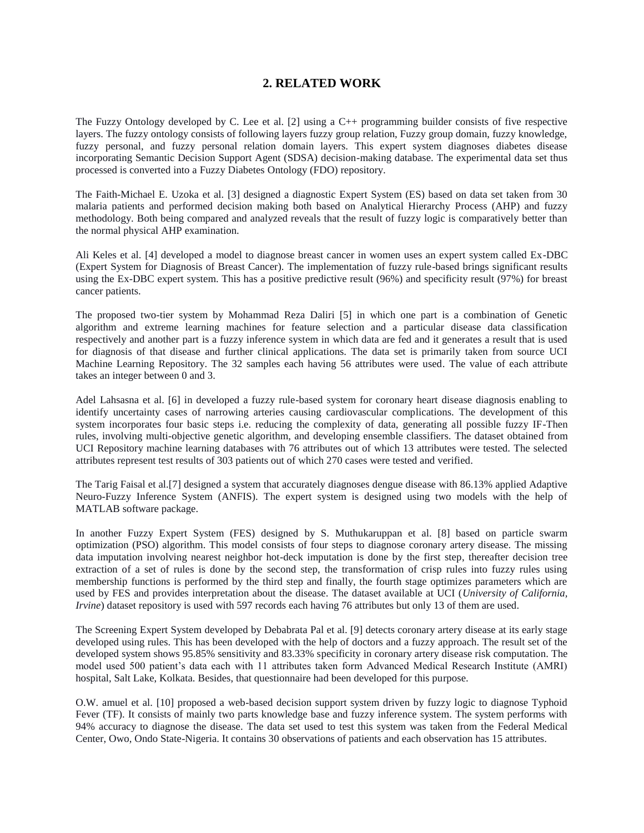## **2. RELATED WORK**

The Fuzzy Ontology developed by C. Lee et al. [2] using a C++ programming builder consists of five respective layers. The fuzzy ontology consists of following layers fuzzy group relation, Fuzzy group domain, fuzzy knowledge, fuzzy personal, and fuzzy personal relation domain layers. This expert system diagnoses diabetes disease incorporating Semantic Decision Support Agent (SDSA) decision-making database. The experimental data set thus processed is converted into a Fuzzy Diabetes Ontology (FDO) repository.

The Faith-Michael E. Uzoka et al. [3] designed a diagnostic Expert System (ES) based on data set taken from 30 malaria patients and performed decision making both based on Analytical Hierarchy Process (AHP) and fuzzy methodology. Both being compared and analyzed reveals that the result of fuzzy logic is comparatively better than the normal physical AHP examination.

Ali Keles et al. [4] developed a model to diagnose breast cancer in women uses an expert system called Ex-DBC (Expert System for Diagnosis of Breast Cancer). The implementation of fuzzy rule-based brings significant results using the Ex-DBC expert system. This has a positive predictive result (96%) and specificity result (97%) for breast cancer patients.

The proposed two-tier system by Mohammad Reza Daliri [5] in which one part is a combination of Genetic algorithm and extreme learning machines for feature selection and a particular disease data classification respectively and another part is a fuzzy inference system in which data are fed and it generates a result that is used for diagnosis of that disease and further clinical applications. The data set is primarily taken from source UCI Machine Learning Repository. The 32 samples each having 56 attributes were used. The value of each attribute takes an integer between 0 and 3.

Adel Lahsasna et al. [6] in developed a fuzzy rule-based system for coronary heart disease diagnosis enabling to identify uncertainty cases of narrowing arteries causing cardiovascular complications. The development of this system incorporates four basic steps i.e. reducing the complexity of data, generating all possible fuzzy IF-Then rules, involving multi-objective genetic algorithm, and developing ensemble classifiers. The dataset obtained from UCI Repository machine learning databases with 76 attributes out of which 13 attributes were tested. The selected attributes represent test results of 303 patients out of which 270 cases were tested and verified.

The Tarig Faisal et al.[7] designed a system that accurately diagnoses dengue disease with 86.13% applied Adaptive Neuro-Fuzzy Inference System (ANFIS). The expert system is designed using two models with the help of MATLAB software package.

In another Fuzzy Expert System (FES) designed by S. Muthukaruppan et al. [8] based on particle swarm optimization (PSO) algorithm. This model consists of four steps to diagnose coronary artery disease. The missing data imputation involving nearest neighbor hot-deck imputation is done by the first step, thereafter decision tree extraction of a set of rules is done by the second step, the transformation of crisp rules into fuzzy rules using membership functions is performed by the third step and finally, the fourth stage optimizes parameters which are used by FES and provides interpretation about the disease. The dataset available at UCI (*University of California, Irvine*) dataset repository is used with 597 records each having 76 attributes but only 13 of them are used.

The Screening Expert System developed by Debabrata Pal et al. [9] detects coronary artery disease at its early stage developed using rules. This has been developed with the help of doctors and a fuzzy approach. The result set of the developed system shows 95.85% sensitivity and 83.33% specificity in coronary artery disease risk computation. The model used 500 patient's data each with 11 attributes taken form Advanced Medical Research Institute (AMRI) hospital, Salt Lake, Kolkata. Besides, that questionnaire had been developed for this purpose.

O.W. amuel et al. [10] proposed a web-based decision support system driven by fuzzy logic to diagnose Typhoid Fever (TF). It consists of mainly two parts knowledge base and fuzzy inference system. The system performs with 94% accuracy to diagnose the disease. The data set used to test this system was taken from the Federal Medical Center, Owo, Ondo State-Nigeria. It contains 30 observations of patients and each observation has 15 attributes.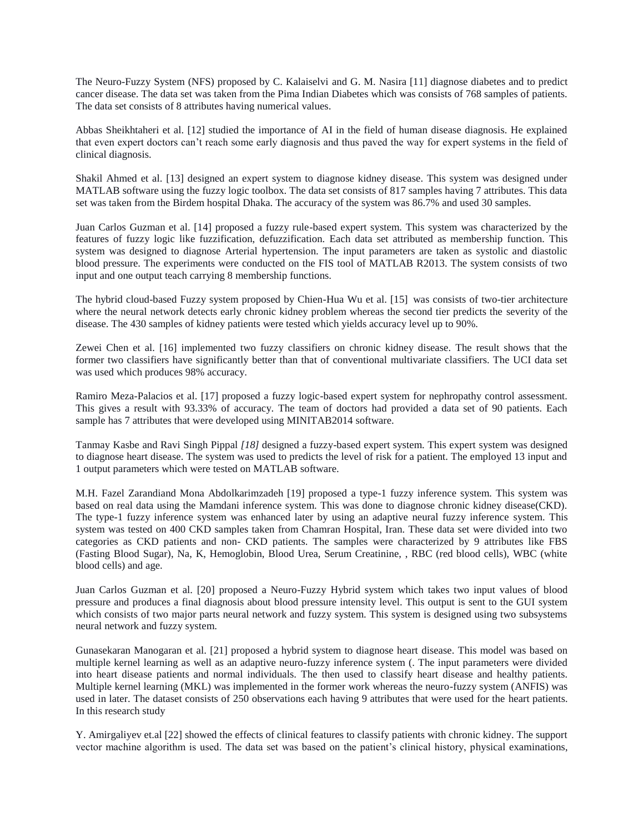The Neuro-Fuzzy System (NFS) proposed by C. Kalaiselvi and G. M. Nasira [11] diagnose diabetes and to predict cancer disease. The data set was taken from the Pima Indian Diabetes which was consists of 768 samples of patients. The data set consists of 8 attributes having numerical values.

Abbas Sheikhtaheri et al. [12] studied the importance of AI in the field of human disease diagnosis. He explained that even expert doctors can't reach some early diagnosis and thus paved the way for expert systems in the field of clinical diagnosis.

Shakil Ahmed et al. [13] designed an expert system to diagnose kidney disease. This system was designed under MATLAB software using the fuzzy logic toolbox. The data set consists of 817 samples having 7 attributes. This data set was taken from the Birdem hospital Dhaka. The accuracy of the system was 86.7% and used 30 samples.

Juan Carlos Guzman et al. [14] proposed a fuzzy rule-based expert system. This system was characterized by the features of fuzzy logic like fuzzification, defuzzification. Each data set attributed as membership function. This system was designed to diagnose Arterial hypertension. The input parameters are taken as systolic and diastolic blood pressure. The experiments were conducted on the FIS tool of MATLAB R2013. The system consists of two input and one output teach carrying 8 membership functions.

The hybrid cloud-based Fuzzy system proposed by Chien-Hua Wu et al. [15] was consists of two-tier architecture where the neural network detects early chronic kidney problem whereas the second tier predicts the severity of the disease. The 430 samples of kidney patients were tested which yields accuracy level up to 90%.

Zewei Chen et al. [16] implemented two fuzzy classifiers on chronic kidney disease. The result shows that the former two classifiers have significantly better than that of conventional multivariate classifiers. The UCI data set was used which produces 98% accuracy.

Ramiro Meza-Palacios et al. [17] proposed a fuzzy logic-based expert system for nephropathy control assessment. This gives a result with 93.33% of accuracy. The team of doctors had provided a data set of 90 patients. Each sample has 7 attributes that were developed using MINITAB2014 software.

Tanmay Kasbe and Ravi Singh Pippal *[18]* designed a fuzzy-based expert system. This expert system was designed to diagnose heart disease. The system was used to predicts the level of risk for a patient. The employed 13 input and 1 output parameters which were tested on MATLAB software.

M.H. Fazel Zarandiand Mona Abdolkarimzadeh [19] proposed a type-1 fuzzy inference system. This system was based on real data using the Mamdani inference system. This was done to diagnose chronic kidney disease(CKD). The type-1 fuzzy inference system was enhanced later by using an adaptive neural fuzzy inference system. This system was tested on 400 CKD samples taken from Chamran Hospital, Iran. These data set were divided into two categories as CKD patients and non- CKD patients. The samples were characterized by 9 attributes like FBS (Fasting Blood Sugar), Na, K, Hemoglobin, Blood Urea, Serum Creatinine, , RBC (red blood cells), WBC (white blood cells) and age.

Juan Carlos Guzman et al. [20] proposed a Neuro-Fuzzy Hybrid system which takes two input values of blood pressure and produces a final diagnosis about blood pressure intensity level. This output is sent to the GUI system which consists of two major parts neural network and fuzzy system. This system is designed using two subsystems neural network and fuzzy system.

Gunasekaran Manogaran et al. [21] proposed a hybrid system to diagnose heart disease. This model was based on multiple kernel learning as well as an adaptive neuro-fuzzy inference system (. The input parameters were divided into heart disease patients and normal individuals. The then used to classify heart disease and healthy patients. Multiple kernel learning (MKL) was implemented in the former work whereas the neuro-fuzzy system (ANFIS) was used in later. The dataset consists of 250 observations each having 9 attributes that were used for the heart patients. In this research study

Y. Amirgaliyev et.al [22] showed the effects of clinical features to classify patients with chronic kidney. The support vector machine algorithm is used. The data set was based on the patient's clinical history, physical examinations,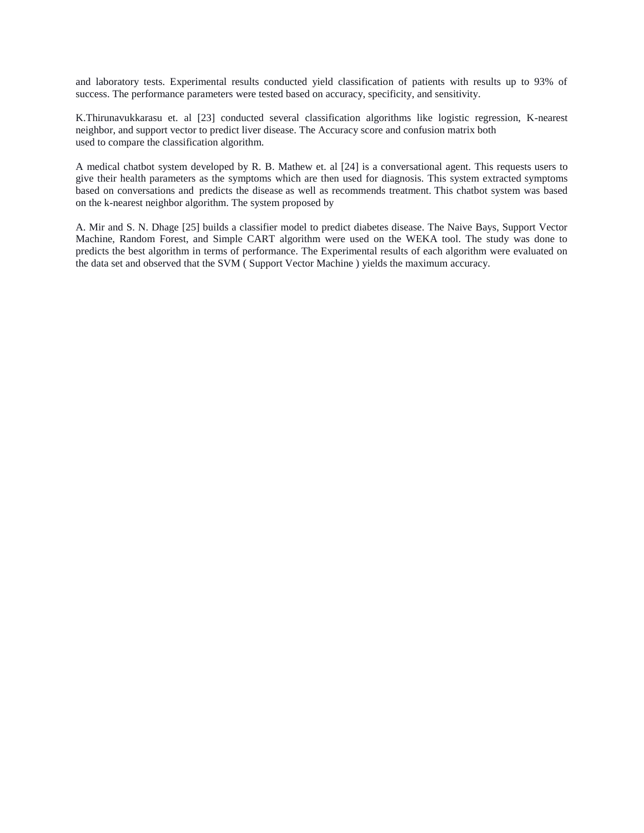and laboratory tests. Experimental results conducted yield classification of patients with results up to 93% of success. The performance parameters were tested based on accuracy, specificity, and sensitivity.

K.Thirunavukkarasu et. al [23] conducted several classification algorithms like logistic regression, K-nearest neighbor, and support vector to predict liver disease. The Accuracy score and confusion matrix both used to compare the classification algorithm.

A medical chatbot system developed by R. B. Mathew et. al [24] is a conversational agent. This requests users to give their health parameters as the symptoms which are then used for diagnosis. This system extracted symptoms based on conversations and predicts the disease as well as recommends treatment. This chatbot system was based on the k-nearest neighbor algorithm. The system proposed by

A. Mir and S. N. Dhage [25] builds a classifier model to predict diabetes disease. The Naive Bays, Support Vector Machine, Random Forest, and Simple CART algorithm were used on the WEKA tool. The study was done to predicts the best algorithm in terms of performance. The Experimental results of each algorithm were evaluated on the data set and observed that the SVM ( Support Vector Machine ) yields the maximum accuracy.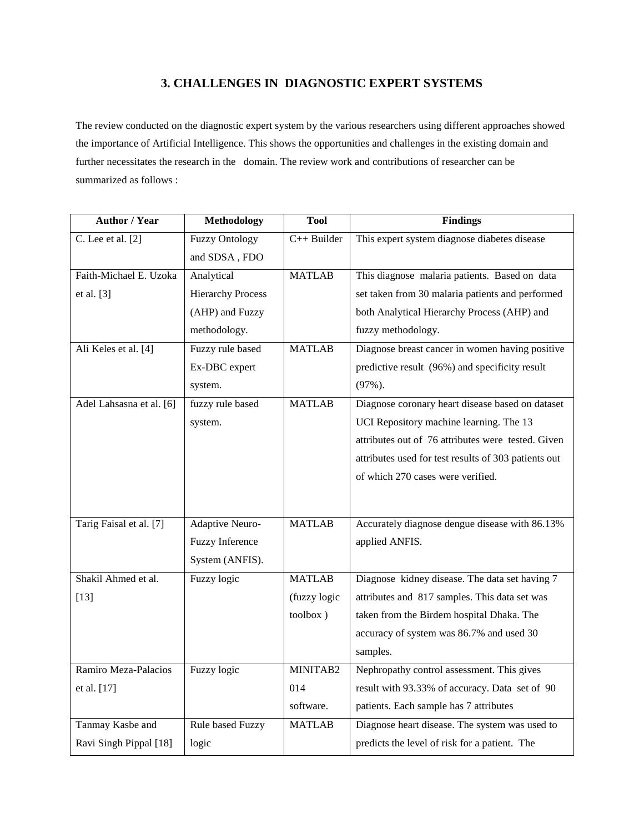## **3. CHALLENGES IN DIAGNOSTIC EXPERT SYSTEMS**

The review conducted on the diagnostic expert system by the various researchers using different approaches showed the importance of Artificial Intelligence. This shows the opportunities and challenges in the existing domain and further necessitates the research in the domain. The review work and contributions of researcher can be summarized as follows :

| <b>Author / Year</b>     | <b>Methodology</b>       | <b>Tool</b>   | <b>Findings</b>                                      |
|--------------------------|--------------------------|---------------|------------------------------------------------------|
| C. Lee et al. $[2]$      | <b>Fuzzy Ontology</b>    | $C++$ Builder | This expert system diagnose diabetes disease         |
|                          | and SDSA, FDO            |               |                                                      |
| Faith-Michael E. Uzoka   | Analytical               | <b>MATLAB</b> | This diagnose malaria patients. Based on data        |
| et al. $[3]$             | <b>Hierarchy Process</b> |               | set taken from 30 malaria patients and performed     |
|                          | (AHP) and Fuzzy          |               | both Analytical Hierarchy Process (AHP) and          |
|                          | methodology.             |               | fuzzy methodology.                                   |
| Ali Keles et al. [4]     | Fuzzy rule based         | <b>MATLAB</b> | Diagnose breast cancer in women having positive      |
|                          | Ex-DBC expert            |               | predictive result (96%) and specificity result       |
|                          | system.                  |               | $(97\%)$ .                                           |
| Adel Lahsasna et al. [6] | fuzzy rule based         | <b>MATLAB</b> | Diagnose coronary heart disease based on dataset     |
|                          | system.                  |               | UCI Repository machine learning. The 13              |
|                          |                          |               | attributes out of 76 attributes were tested. Given   |
|                          |                          |               | attributes used for test results of 303 patients out |
|                          |                          |               | of which 270 cases were verified.                    |
|                          |                          |               |                                                      |
|                          |                          | <b>MATLAB</b> |                                                      |
| Tarig Faisal et al. [7]  | Adaptive Neuro-          |               | Accurately diagnose dengue disease with 86.13%       |
|                          | Fuzzy Inference          |               | applied ANFIS.                                       |
|                          | System (ANFIS).          |               |                                                      |
| Shakil Ahmed et al.      | Fuzzy logic              | <b>MATLAB</b> | Diagnose kidney disease. The data set having 7       |
| $[13]$                   |                          | (fuzzy logic  | attributes and 817 samples. This data set was        |
|                          |                          | toolbox)      | taken from the Birdem hospital Dhaka. The            |
|                          |                          |               | accuracy of system was 86.7% and used 30             |
|                          |                          |               | samples.                                             |
| Ramiro Meza-Palacios     | Fuzzy logic              | MINITAB2      | Nephropathy control assessment. This gives           |
| et al. [17]              |                          | 014           | result with 93.33% of accuracy. Data set of 90       |
|                          |                          | software.     | patients. Each sample has 7 attributes               |
| Tanmay Kasbe and         | Rule based Fuzzy         | <b>MATLAB</b> | Diagnose heart disease. The system was used to       |
| Ravi Singh Pippal [18]   | logic                    |               | predicts the level of risk for a patient. The        |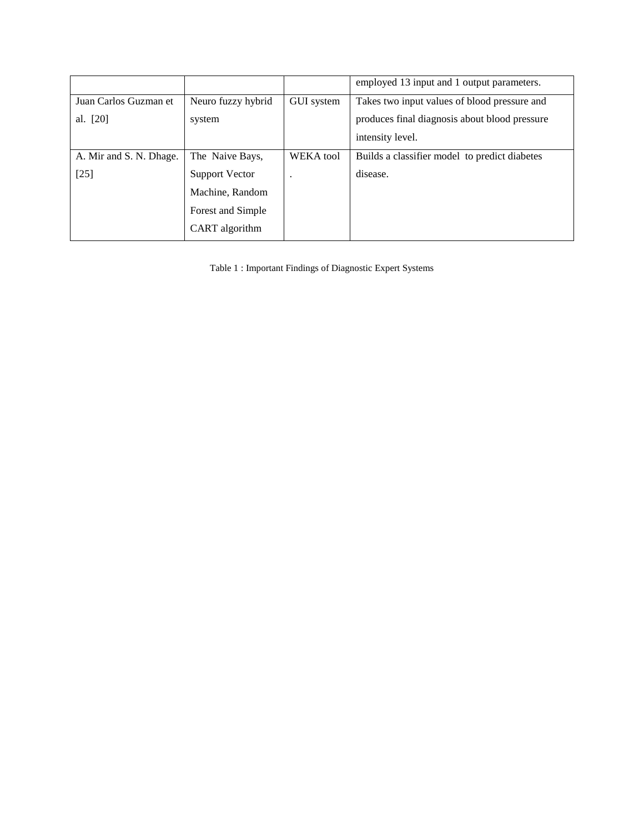|                         |                    |                   | employed 13 input and 1 output parameters.    |
|-------------------------|--------------------|-------------------|-----------------------------------------------|
| Juan Carlos Guzman et   | Neuro fuzzy hybrid | <b>GUI</b> system | Takes two input values of blood pressure and  |
| al. [20]                | system             |                   | produces final diagnosis about blood pressure |
|                         |                    |                   | intensity level.                              |
| A. Mir and S. N. Dhage. | The Naive Bays,    | <b>WEKA</b> tool  | Builds a classifier model to predict diabetes |
| $[25]$                  | Support Vector     |                   | disease.                                      |
|                         | Machine, Random    |                   |                                               |
|                         | Forest and Simple  |                   |                                               |
|                         | CART algorithm     |                   |                                               |

Table 1 : Important Findings of Diagnostic Expert Systems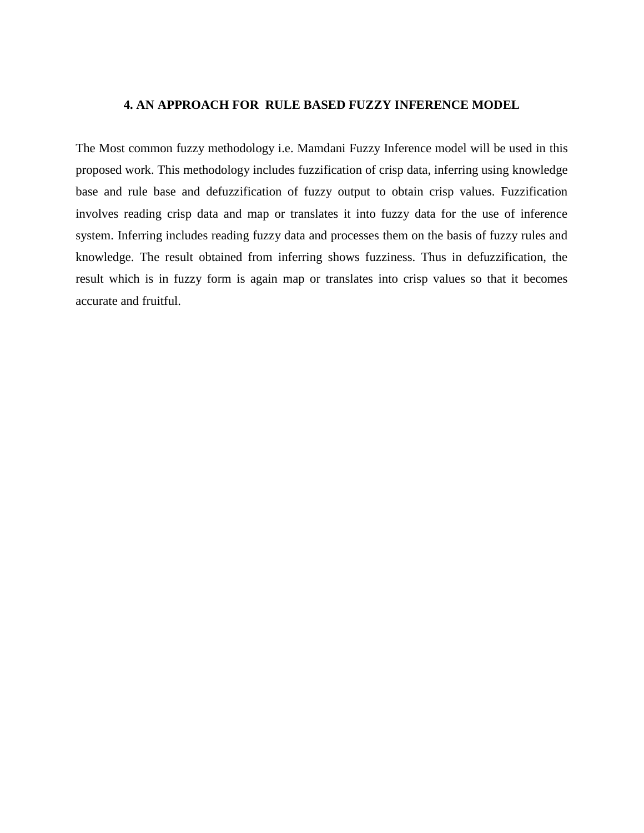## **4. AN APPROACH FOR RULE BASED FUZZY INFERENCE MODEL**

The Most common fuzzy methodology i.e. Mamdani Fuzzy Inference model will be used in this proposed work. This methodology includes fuzzification of crisp data, inferring using knowledge base and rule base and defuzzification of fuzzy output to obtain crisp values. Fuzzification involves reading crisp data and map or translates it into fuzzy data for the use of inference system. Inferring includes reading fuzzy data and processes them on the basis of fuzzy rules and knowledge. The result obtained from inferring shows fuzziness. Thus in defuzzification, the result which is in fuzzy form is again map or translates into crisp values so that it becomes accurate and fruitful.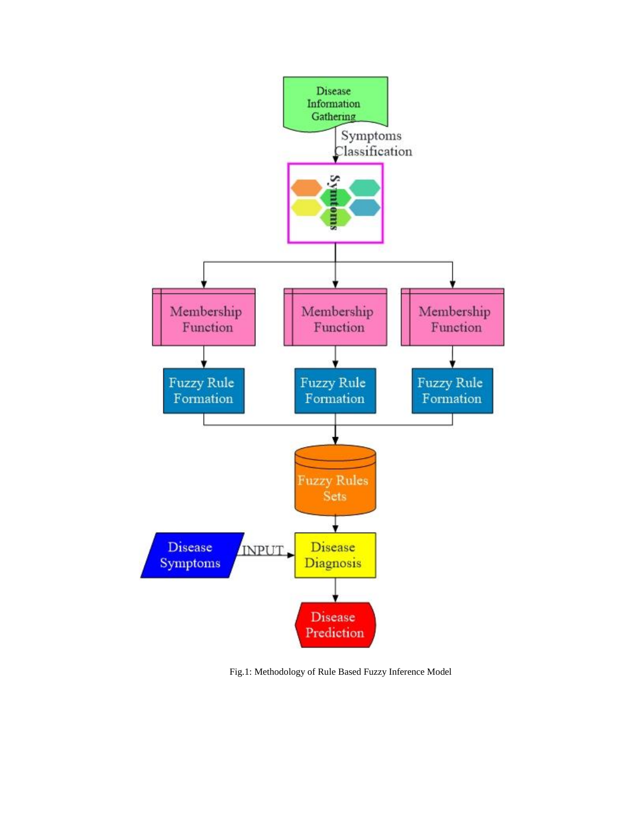

Fig.1: Methodology of Rule Based Fuzzy Inference Model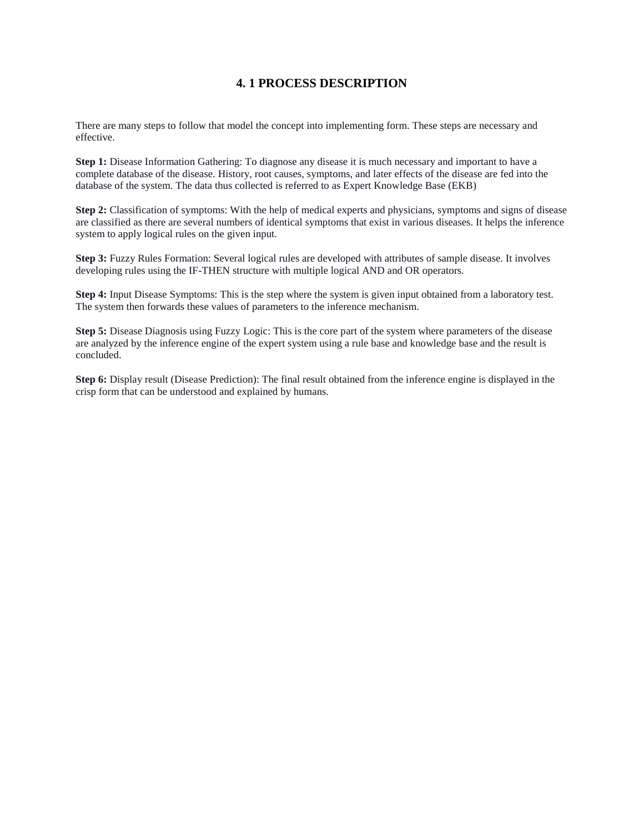## **4. 1 PROCESS DESCRIPTION**

There are many steps to follow that model the concept into implementing form. These steps are necessary and effective.

**Step 1:** Disease Information Gathering: To diagnose any disease it is much necessary and important to have a complete database of the disease. History, root causes, symptoms, and later effects of the disease are fed into the database of the system. The data thus collected is referred to as Expert Knowledge Base (EKB)

**Step 2:** Classification of symptoms: With the help of medical experts and physicians, symptoms and signs of disease are classified as there are several numbers of identical symptoms that exist in various diseases. It helps the inference system to apply logical rules on the given input.

**Step 3:** Fuzzy Rules Formation: Several logical rules are developed with attributes of sample disease. It involves developing rules using the IF-THEN structure with multiple logical AND and OR operators.

**Step 4:** Input Disease Symptoms: This is the step where the system is given input obtained from a laboratory test. The system then forwards these values of parameters to the inference mechanism.

**Step 5:** Disease Diagnosis using Fuzzy Logic: This is the core part of the system where parameters of the disease are analyzed by the inference engine of the expert system using a rule base and knowledge base and the result is concluded.

**Step 6:** Display result (Disease Prediction): The final result obtained from the inference engine is displayed in the crisp form that can be understood and explained by humans.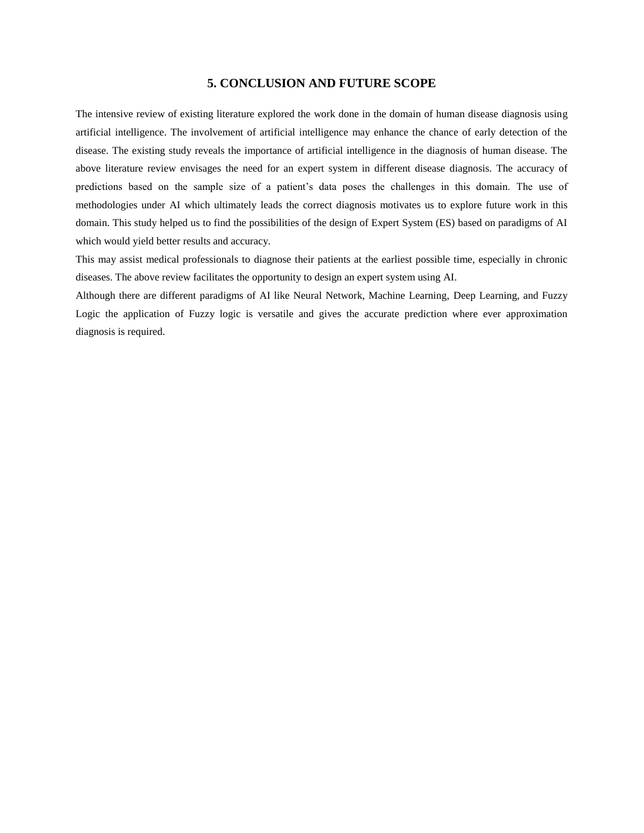#### **5. CONCLUSION AND FUTURE SCOPE**

The intensive review of existing literature explored the work done in the domain of human disease diagnosis using artificial intelligence. The involvement of artificial intelligence may enhance the chance of early detection of the disease. The existing study reveals the importance of artificial intelligence in the diagnosis of human disease. The above literature review envisages the need for an expert system in different disease diagnosis. The accuracy of predictions based on the sample size of a patient's data poses the challenges in this domain. The use of methodologies under AI which ultimately leads the correct diagnosis motivates us to explore future work in this domain. This study helped us to find the possibilities of the design of Expert System (ES) based on paradigms of AI which would yield better results and accuracy.

This may assist medical professionals to diagnose their patients at the earliest possible time, especially in chronic diseases. The above review facilitates the opportunity to design an expert system using AI.

Although there are different paradigms of AI like Neural Network, Machine Learning, Deep Learning, and Fuzzy Logic the application of Fuzzy logic is versatile and gives the accurate prediction where ever approximation diagnosis is required.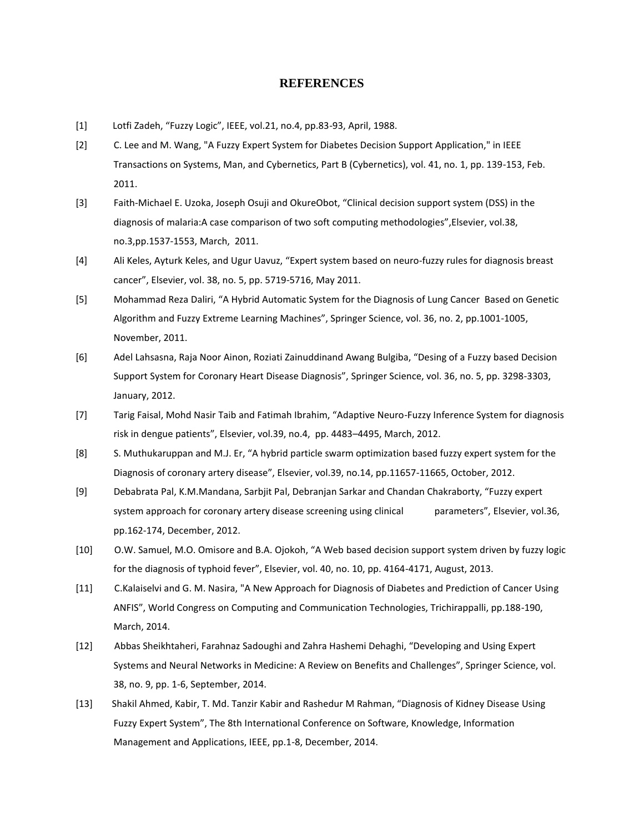#### **REFERENCES**

- [1] Lotfi Zadeh, "Fuzzy Logic", IEEE, vol.21, no.4, pp.83-93, April, 1988.
- [2] C. Lee and M. Wang, "A Fuzzy Expert System for Diabetes Decision Support Application," in IEEE Transactions on Systems, Man, and Cybernetics, Part B (Cybernetics), vol. 41, no. 1, pp. 139-153, Feb. 2011.
- [3] Faith-Michael E. Uzoka, Joseph Osuji and OkureObot, "Clinical decision support system (DSS) in the diagnosis of malaria:A case comparison of two soft computing methodologies",Elsevier, vol.38, no.3,pp.1537-1553, March, 2011.
- [4] Ali Keles, Ayturk Keles, and Ugur Uavuz, "Expert system based on neuro-fuzzy rules for diagnosis breast cancer", Elsevier, vol. 38, no. 5, pp. 5719-5716, May 2011.
- [5] Mohammad Reza Daliri, "A Hybrid Automatic System for the Diagnosis of Lung Cancer Based on Genetic Algorithm and Fuzzy Extreme Learning Machines", Springer Science, vol. 36, no. 2, pp.1001-1005, November, 2011.
- [6] Adel Lahsasna, Raja Noor Ainon, Roziati Zainuddinand Awang Bulgiba, "Desing of a Fuzzy based Decision Support System for Coronary Heart Disease Diagnosis", Springer Science, vol. 36, no. 5, pp. 3298-3303, January, 2012.
- [7] Tarig Faisal, Mohd Nasir Taib and Fatimah Ibrahim, "Adaptive Neuro-Fuzzy Inference System for diagnosis risk in dengue patients", Elsevier, vol.39, no.4, pp. 4483–4495, March, 2012.
- [8] S. Muthukaruppan and M.J. Er, "A hybrid particle swarm optimization based fuzzy expert system for the Diagnosis of coronary artery disease", Elsevier, vol.39, no.14, pp.11657-11665, October, 2012.
- [9] Debabrata Pal, K.M.Mandana, Sarbjit Pal, Debranjan Sarkar and Chandan Chakraborty, "Fuzzy expert system approach for coronary artery disease screening using clinical parameters", Elsevier, vol.36, pp.162-174, December, 2012.
- [10] O.W. Samuel, M.O. Omisore and B.A. Ojokoh, "A Web based decision support system driven by fuzzy logic for the diagnosis of typhoid fever", Elsevier, vol. 40, no. 10, pp. 4164-4171, August, 2013.
- [11] C.Kalaiselvi and G. M. Nasira, "A New Approach for Diagnosis of Diabetes and Prediction of Cancer Using ANFIS", World Congress on Computing and Communication Technologies, Trichirappalli, pp.188-190, March, 2014.
- [12] Abbas Sheikhtaheri, Farahnaz Sadoughi and Zahra Hashemi Dehaghi, "Developing and Using Expert Systems and Neural Networks in Medicine: A Review on Benefits and Challenges", Springer Science, vol. 38, no. 9, pp. 1-6, September, 2014.
- [13] Shakil Ahmed, Kabir, T. Md. Tanzir Kabir and Rashedur M Rahman, "Diagnosis of Kidney Disease Using Fuzzy Expert System", The 8th International Conference on Software, Knowledge, Information Management and Applications, IEEE, pp.1-8, December, 2014.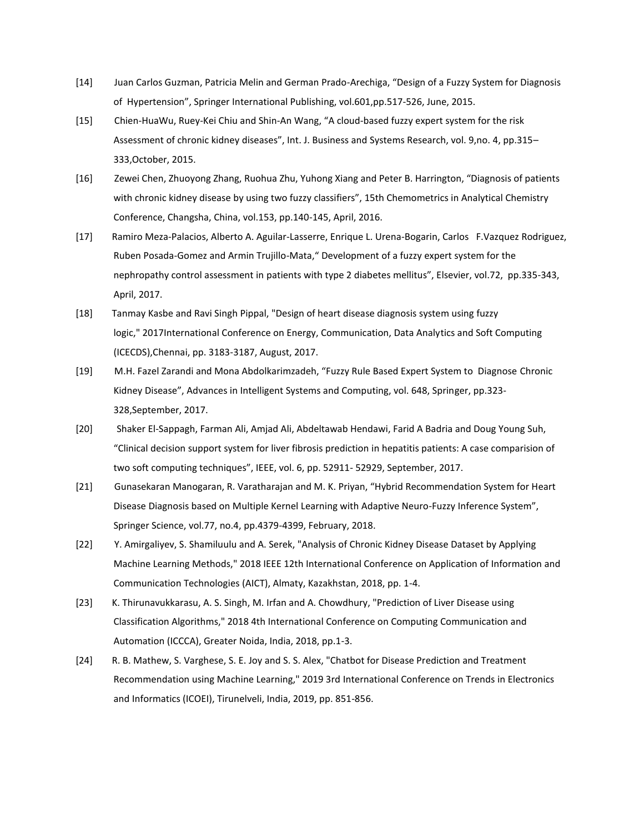- [14] Juan Carlos Guzman, Patricia Melin and German Prado-Arechiga, "Design of a Fuzzy System for Diagnosis of Hypertension", Springer International Publishing, vol.601,pp.517-526, June, 2015.
- [15] Chien-HuaWu, Ruey-Kei Chiu and Shin-An Wang, "A cloud-based fuzzy expert system for the risk Assessment of chronic kidney diseases", Int. J. Business and Systems Research, vol. 9,no. 4, pp.315– 333,October, 2015.
- [16] Zewei Chen, Zhuoyong Zhang, Ruohua Zhu, Yuhong Xiang and Peter B. Harrington, "Diagnosis of patients with chronic kidney disease by using two fuzzy classifiers", 15th Chemometrics in Analytical Chemistry Conference, Changsha, China, vol.153, pp.140-145, April, 2016.
- [17] Ramiro Meza-Palacios, Alberto A. Aguilar-Lasserre, Enrique L. Urena-Bogarin, Carlos F.Vazquez Rodriguez, Ruben Posada-Gomez and Armin Trujillo-Mata," Development of a fuzzy expert system for the nephropathy control assessment in patients with type 2 diabetes mellitus", Elsevier, vol.72, pp.335-343, April, 2017.
- [18] Tanmay Kasbe and Ravi Singh Pippal, "Design of heart disease diagnosis system using fuzzy logic," 2017International Conference on Energy, Communication, Data Analytics and Soft Computing (ICECDS),Chennai, pp. 3183-3187, August, 2017.
- [19] M.H. Fazel Zarandi and Mona Abdolkarimzadeh, "Fuzzy Rule Based Expert System to Diagnose Chronic Kidney Disease", Advances in Intelligent Systems and Computing, vol. 648, Springer, pp.323- 328,September, 2017.
- [20] Shaker El-Sappagh, Farman Ali, Amjad Ali, Abdeltawab Hendawi, Farid A Badria and Doug Young Suh, "Clinical decision support system for liver fibrosis prediction in hepatitis patients: A case comparision of two soft computing techniques", IEEE, vol. 6, pp. 52911- 52929, September, 2017.
- [21] Gunasekaran Manogaran, R. Varatharajan and M. K. Priyan, "Hybrid Recommendation System for Heart Disease Diagnosis based on Multiple Kernel Learning with Adaptive Neuro-Fuzzy Inference System", Springer Science, vol.77, no.4, pp.4379-4399, February, 2018.
- [22] Y. Amirgaliyev, S. Shamiluulu and A. Serek, "Analysis of Chronic Kidney Disease Dataset by Applying Machine Learning Methods," 2018 IEEE 12th International Conference on Application of Information and Communication Technologies (AICT), Almaty, Kazakhstan, 2018, pp. 1-4.
- [23] K. Thirunavukkarasu, A. S. Singh, M. Irfan and A. Chowdhury, "Prediction of Liver Disease using Classification Algorithms," 2018 4th International Conference on Computing Communication and Automation (ICCCA), Greater Noida, India, 2018, pp.1-3.
- [24] R. B. Mathew, S. Varghese, S. E. Joy and S. S. Alex, "Chatbot for Disease Prediction and Treatment Recommendation using Machine Learning," 2019 3rd International Conference on Trends in Electronics and Informatics (ICOEI), Tirunelveli, India, 2019, pp. 851-856.